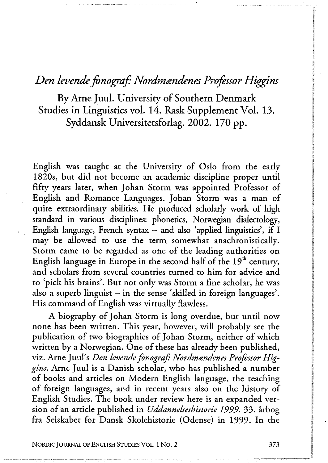## *Den levende fonograf: Nordmændenes Professor Higgins*

**By Arne Juul. University of Southern Denmark Studies in Linguistics vol. 14. Rask Supplement Vol. 13. Syddansk Universitetsforlag. 2002. 170 pp.** 

English was taught at the University of Oslo from the early 1820s, but did not become an academic discipline proper until fifty years later, when Johan Storm was appointed Professor of English and Romance Languages. Johan Storm was a man of quite extraordinary abilities. He produced scholarly work of high standard in various disciplines: phonetics, Norwegian dialectology, English language, French syntax — and also 'applied linguistics', if I may be allowed to use the term somewhat anachronistically. Storm came to be regarded as one of the leading authorities on English language in Europe in the second half of the  $19<sup>th</sup>$  century, and scholars from several countries turned to him for advice and to 'pick his brains'. But not only was Storm a fine scholar, he was also a superb linguist — in the sense 'skilled in foreign languages'. His command of English was virtually flawless.

A biography of Johan Storm is long overdue, but until now none has been written. This year, however, will probably see the publication of two biographies of Johan Storm, neither of which written by a Norwegian. One of these has already been published, viz. Arne Juul's *Den levende fonograf: Nordmandenes Professor Higgins.* Arne Juul is a Danish scholar, who has published a number of books and articles on Modern English language, the teaching of foreign languages, and in recent years also on the history of English Studies. The book under review here is an expanded version of än article published in *Uddannelseshistorie 1999.* 33. årbog fra Selskabet for Dansk Skolehistorie (Odense) in 1999. In the

**NORDIC JOURNAL OF ENGLISH STUDIES VOL. I No. 2 373**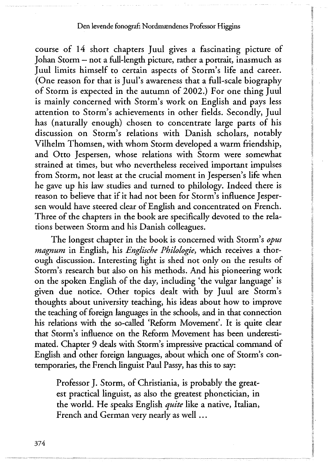## **Den levende fonograf: Nordmændenes Professor Higgins**

course of 14 short chapters Juul gives a fascinating picture of Johan Storm — not a full-length picture, rather a portrait, inasmuch as Juul limits himself to certain aspects of Storm's life and career. (One reason for that is Juul's awareness that a full-scale biography of Storm is expected in the autumn of 2002.) For one thing Juul is mainly concerned with Storm's work on English and pays less attention to Storm's achievements in other fields. Secondly, Juul has (naturally enough) chosen to concentrate large parts of his discussion on Storm's relations with Danish scholars, notably Vilhelm Thomsen, with whom Storm developed a warm friendship, and Otto Jespersen, whose relations with Storm were somewhat strained at times, but who nevertheless received important impulses from Storm, not least at the crucial moment in Jespersen's life when he gave up his law studies and turned to philology. Indeed there is reason to believe that if it had not been for Storm's influence Jespersen would have steered clear of English and concentrated on French. Three of the chapters in the book are specifically devoted to the relations between Storm and his Danish colleagues.

The longest chapter in the book is concerned with Storm's *opus magnum* in English, his *Englische Philologie,* which receives a thorough discussion. Interesting light is shed not only on the results of Storm's research but also on his methods. And his pioneering work on the spoken English of the day, including 'the vulgar language' is given due notice. Other topics dealt with by Juul are Storm's thoughts about university teaching, his ideas about how to improve the teaching of foreign languages in the schools, and in that connection his relations with the so-called 'Reform Movement'. It is quite clear that Storm's influence on the Reform Movement has been underestimated. Chapter 9 deals with Storm's impressive practical command of English and other foreign languages, about which one of Storm's contemporaries, the French linguist Paul Passy, has this to say:

Professor J. Storm, of Christiania, is probably the greatest practical linguist, as also the greatest phonetician, in the world. He speaks English *quite* like a native, Italian, French and German very nearly as well .. .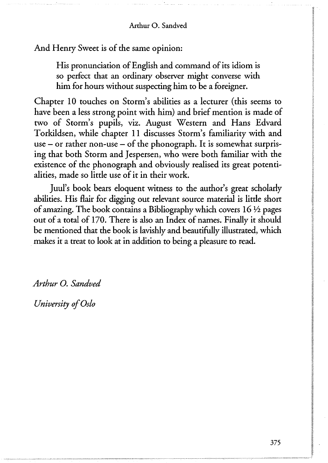And Henry Sweet is of the same opinion:

His pronunciation of English and command of its idiom is so perfect that an ordinary observer might converse with him for hours without suspecting him to be a foreigner.

Chapter 10 touches on Storm's abilities as a lecturer (this seems to have been a less strong point with him) and brief mention is made of two of Storm's pupils, viz. August Western and Hans Edvard Torkildsen, while chapter 11 discusses Storm's familiarity with and use  $-$  or rather non-use  $-$  of the phonograph. It is somewhat surprising that both Storm and Jespersen, who were both familiar with the existence of the phonograph and obviously realised its great potentialities, made so little use of it in their work.

Juul's book bears eloquent witness to the author's great scholarly abilities. His flair for digging out relevant source material is little short of amazing. The book contains a Bibliography which covers *\6Vi* pages out of a total of 170. There is also an Index of names. Finally it should be mentioned that the book is lavishly and beautifully illustrated, which makes it a treat to look at in addition to being a pleasure to read.

*Arthur O. Sandved* 

*University of Oslo*